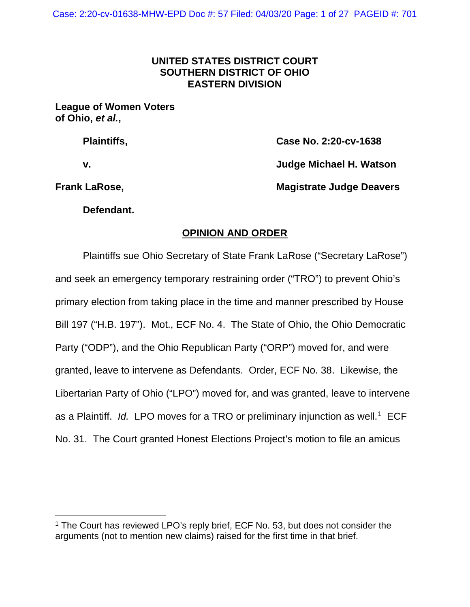# **UNITED STATES DISTRICT COURT SOUTHERN DISTRICT OF OHIO EASTERN DIVISION**

### **League of Women Voters of Ohio,** *et al.***,**

| <b>Plaintiffs,</b> | Case No. 2:20-cv-1638           |
|--------------------|---------------------------------|
| v.                 | Judge Michael H. Watson         |
| Frank LaRose,      | <b>Magistrate Judge Deavers</b> |

**Defendant.**

# **OPINION AND ORDER**

Plaintiffs sue Ohio Secretary of State Frank LaRose ("Secretary LaRose") and seek an emergency temporary restraining order ("TRO") to prevent Ohio's primary election from taking place in the time and manner prescribed by House Bill 197 ("H.B. 197"). Mot., ECF No. 4. The State of Ohio, the Ohio Democratic Party ("ODP"), and the Ohio Republican Party ("ORP") moved for, and were granted, leave to intervene as Defendants. Order, ECF No. 38. Likewise, the Libertarian Party of Ohio ("LPO") moved for, and was granted, leave to intervene as a Plaintiff. *Id.* LPO moves for a TRO or preliminary injunction as well.<sup>[1](#page-0-0)</sup> ECF No. 31. The Court granted Honest Elections Project's motion to file an amicus

<span id="page-0-0"></span><sup>&</sup>lt;sup>1</sup> The Court has reviewed LPO's reply brief, ECF No. 53, but does not consider the arguments (not to mention new claims) raised for the first time in that brief.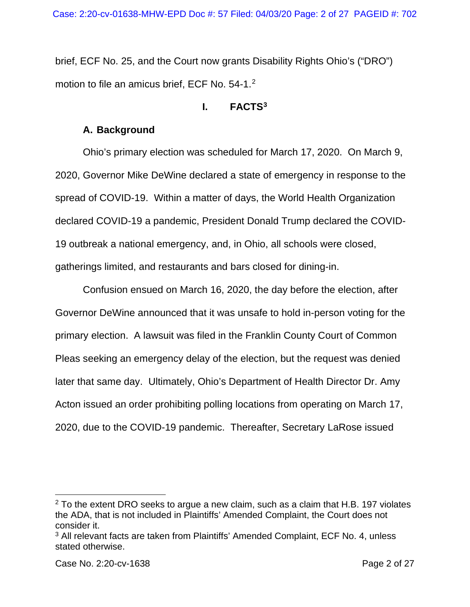brief, ECF No. 25, and the Court now grants Disability Rights Ohio's ("DRO") motion to file an amicus brief, ECF No. 54-1.<sup>[2](#page-1-0)</sup>

## **I. FACTS[3](#page-1-1)**

# **A. Background**

Ohio's primary election was scheduled for March 17, 2020. On March 9, 2020, Governor Mike DeWine declared a state of emergency in response to the spread of COVID-19. Within a matter of days, the World Health Organization declared COVID-19 a pandemic, President Donald Trump declared the COVID-19 outbreak a national emergency, and, in Ohio, all schools were closed, gatherings limited, and restaurants and bars closed for dining-in.

Confusion ensued on March 16, 2020, the day before the election, after Governor DeWine announced that it was unsafe to hold in-person voting for the primary election. A lawsuit was filed in the Franklin County Court of Common Pleas seeking an emergency delay of the election, but the request was denied later that same day. Ultimately, Ohio's Department of Health Director Dr. Amy Acton issued an order prohibiting polling locations from operating on March 17, 2020, due to the COVID-19 pandemic. Thereafter, Secretary LaRose issued

<span id="page-1-0"></span> $2$  To the extent DRO seeks to argue a new claim, such as a claim that H.B. 197 violates the ADA, that is not included in Plaintiffs' Amended Complaint, the Court does not consider it.

<span id="page-1-1"></span><sup>3</sup> All relevant facts are taken from Plaintiffs' Amended Complaint, ECF No. 4, unless stated otherwise.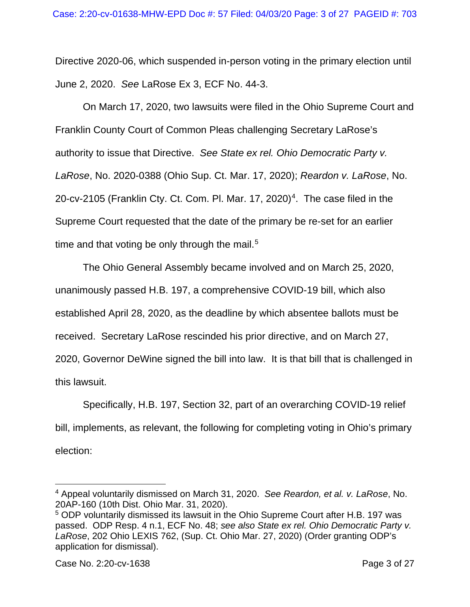Directive 2020-06, which suspended in-person voting in the primary election until June 2, 2020. *See* LaRose Ex 3, ECF No. 44-3.

On March 17, 2020, two lawsuits were filed in the Ohio Supreme Court and Franklin County Court of Common Pleas challenging Secretary LaRose's authority to issue that Directive. *See State ex rel. Ohio Democratic Party v. LaRose*, No. 2020-0388 (Ohio Sup. Ct. Mar. 17, 2020); *Reardon v. LaRose*, No. 20-cv-2105 (Franklin Cty. Ct. Com. Pl. Mar. 17, 2020)<sup>[4](#page-2-0)</sup>. The case filed in the Supreme Court requested that the date of the primary be re-set for an earlier time and that voting be only through the mail.<sup>[5](#page-2-1)</sup>

The Ohio General Assembly became involved and on March 25, 2020, unanimously passed H.B. 197, a comprehensive COVID-19 bill, which also established April 28, 2020, as the deadline by which absentee ballots must be received. Secretary LaRose rescinded his prior directive, and on March 27, 2020, Governor DeWine signed the bill into law. It is that bill that is challenged in this lawsuit.

Specifically, H.B. 197, Section 32, part of an overarching COVID-19 relief bill, implements, as relevant, the following for completing voting in Ohio's primary election:

<span id="page-2-0"></span><sup>4</sup> Appeal voluntarily dismissed on March 31, 2020. *See Reardon, et al. v. LaRose*, No. 20AP-160 (10th Dist. Ohio Mar. 31, 2020).

<span id="page-2-1"></span><sup>5</sup> ODP voluntarily dismissed its lawsuit in the Ohio Supreme Court after H.B. 197 was passed. ODP Resp. 4 n.1, ECF No. 48; *see also State ex rel. Ohio Democratic Party v. LaRose*, 202 Ohio LEXIS 762, (Sup. Ct. Ohio Mar. 27, 2020) (Order granting ODP's application for dismissal).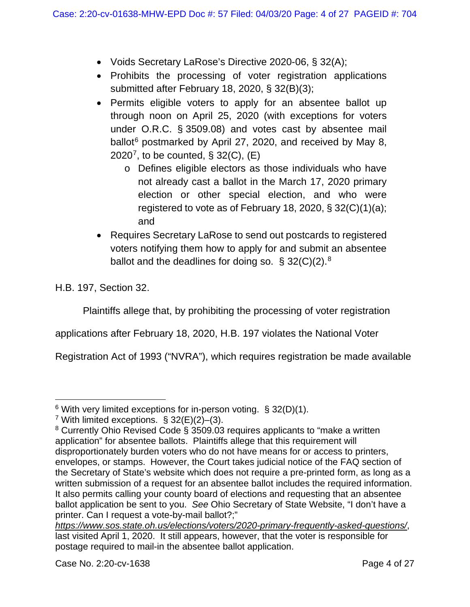- Voids Secretary LaRose's Directive 2020-06, § 32(A);
- Prohibits the processing of voter registration applications submitted after February 18, 2020, § 32(B)(3);
- Permits eligible voters to apply for an absentee ballot up through noon on April 25, 2020 (with exceptions for voters under O.R.C. § 3509.08) and votes cast by absentee mail ballot<sup>[6](#page-3-0)</sup> postmarked by April 27, 2020, and received by May 8, 2020<sup>[7](#page-3-1)</sup>, to be counted, § 32(C),  $(E)$ 
	- o Defines eligible electors as those individuals who have not already cast a ballot in the March 17, 2020 primary election or other special election, and who were registered to vote as of February 18, 2020, § 32(C)(1)(a); and
- Requires Secretary LaRose to send out postcards to registered voters notifying them how to apply for and submit an absentee ballot and the deadlines for doing so.  $\S$  32(C)(2).<sup>[8](#page-3-2)</sup>

H.B. 197, Section 32.

Plaintiffs allege that, by prohibiting the processing of voter registration

applications after February 18, 2020, H.B. 197 violates the National Voter

Registration Act of 1993 ("NVRA"), which requires registration be made available

<span id="page-3-0"></span> $6$  With very limited exceptions for in-person voting. § 32(D)(1).

<span id="page-3-1"></span><sup>&</sup>lt;sup>7</sup> With limited exceptions.  $\S 32(E)(2)$ –(3).

<span id="page-3-2"></span><sup>8</sup> Currently Ohio Revised Code § 3509.03 requires applicants to "make a written application" for absentee ballots. Plaintiffs allege that this requirement will disproportionately burden voters who do not have means for or access to printers, envelopes, or stamps. However, the Court takes judicial notice of the FAQ section of the Secretary of State's website which does not require a pre-printed form, as long as a written submission of a request for an absentee ballot includes the required information. It also permits calling your county board of elections and requesting that an absentee ballot application be sent to you. *See* Ohio Secretary of State Website, "I don't have a printer. Can I request a vote-by-mail ballot?;"

*<https://www.sos.state.oh.us/elections/voters/2020-primary-frequently-asked-questions/>*, last visited April 1, 2020. It still appears, however, that the voter is responsible for postage required to mail-in the absentee ballot application.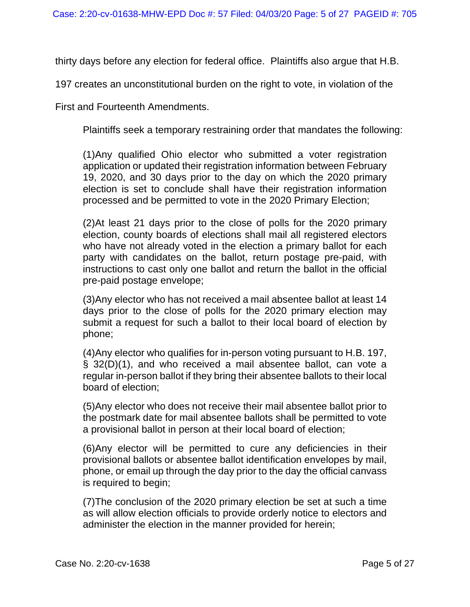thirty days before any election for federal office. Plaintiffs also argue that H.B.

197 creates an unconstitutional burden on the right to vote, in violation of the

First and Fourteenth Amendments.

Plaintiffs seek a temporary restraining order that mandates the following:

(1)Any qualified Ohio elector who submitted a voter registration application or updated their registration information between February 19, 2020, and 30 days prior to the day on which the 2020 primary election is set to conclude shall have their registration information processed and be permitted to vote in the 2020 Primary Election;

(2)At least 21 days prior to the close of polls for the 2020 primary election, county boards of elections shall mail all registered electors who have not already voted in the election a primary ballot for each party with candidates on the ballot, return postage pre-paid, with instructions to cast only one ballot and return the ballot in the official pre-paid postage envelope;

(3)Any elector who has not received a mail absentee ballot at least 14 days prior to the close of polls for the 2020 primary election may submit a request for such a ballot to their local board of election by phone;

(4)Any elector who qualifies for in-person voting pursuant to H.B. 197, § 32(D)(1), and who received a mail absentee ballot, can vote a regular in-person ballot if they bring their absentee ballots to their local board of election;

(5)Any elector who does not receive their mail absentee ballot prior to the postmark date for mail absentee ballots shall be permitted to vote a provisional ballot in person at their local board of election;

(6)Any elector will be permitted to cure any deficiencies in their provisional ballots or absentee ballot identification envelopes by mail, phone, or email up through the day prior to the day the official canvass is required to begin;

(7)The conclusion of the 2020 primary election be set at such a time as will allow election officials to provide orderly notice to electors and administer the election in the manner provided for herein;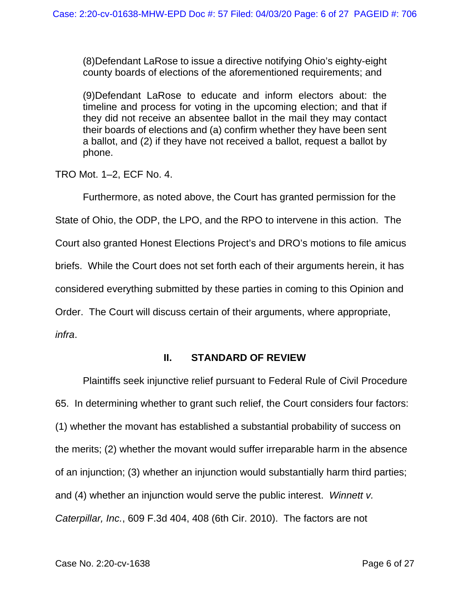(8)Defendant LaRose to issue a directive notifying Ohio's eighty-eight county boards of elections of the aforementioned requirements; and

(9)Defendant LaRose to educate and inform electors about: the timeline and process for voting in the upcoming election; and that if they did not receive an absentee ballot in the mail they may contact their boards of elections and (a) confirm whether they have been sent a ballot, and (2) if they have not received a ballot, request a ballot by phone.

TRO Mot. 1–2, ECF No. 4.

Furthermore, as noted above, the Court has granted permission for the

State of Ohio, the ODP, the LPO, and the RPO to intervene in this action. The

Court also granted Honest Elections Project's and DRO's motions to file amicus

briefs. While the Court does not set forth each of their arguments herein, it has

considered everything submitted by these parties in coming to this Opinion and

Order. The Court will discuss certain of their arguments, where appropriate,

*infra*.

# **II. STANDARD OF REVIEW**

Plaintiffs seek injunctive relief pursuant to Federal Rule of Civil Procedure 65. In determining whether to grant such relief, the Court considers four factors: (1) whether the movant has established a substantial probability of success on the merits; (2) whether the movant would suffer irreparable harm in the absence of an injunction; (3) whether an injunction would substantially harm third parties; and (4) whether an injunction would serve the public interest. *Winnett v. Caterpillar, Inc.*, 609 F.3d 404, 408 (6th Cir. 2010). The factors are not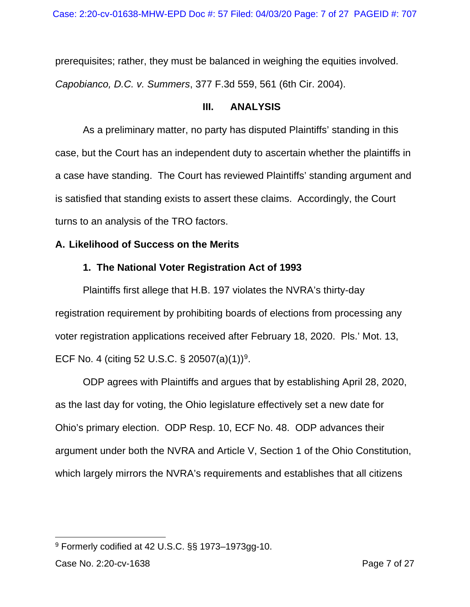prerequisites; rather, they must be balanced in weighing the equities involved. *Capobianco, D.C. v. Summers*, 377 F.3d 559, 561 (6th Cir. 2004).

## **III. ANALYSIS**

As a preliminary matter, no party has disputed Plaintiffs' standing in this case, but the Court has an independent duty to ascertain whether the plaintiffs in a case have standing. The Court has reviewed Plaintiffs' standing argument and is satisfied that standing exists to assert these claims. Accordingly, the Court turns to an analysis of the TRO factors.

# **A. Likelihood of Success on the Merits**

# **1. The National Voter Registration Act of 1993**

Plaintiffs first allege that H.B. 197 violates the NVRA's thirty-day registration requirement by prohibiting boards of elections from processing any voter registration applications received after February 18, 2020. Pls.' Mot. 13, ECF No. 4 (citing 52 U.S.C. § 20507(a)(1))<sup>[9](#page-6-0)</sup>.

ODP agrees with Plaintiffs and argues that by establishing April 28, 2020, as the last day for voting, the Ohio legislature effectively set a new date for Ohio's primary election. ODP Resp. 10, ECF No. 48. ODP advances their argument under both the NVRA and Article V, Section 1 of the Ohio Constitution, which largely mirrors the NVRA's requirements and establishes that all citizens

<span id="page-6-0"></span><sup>9</sup> Formerly codified at 42 U.S.C. §§ 1973–1973gg-10.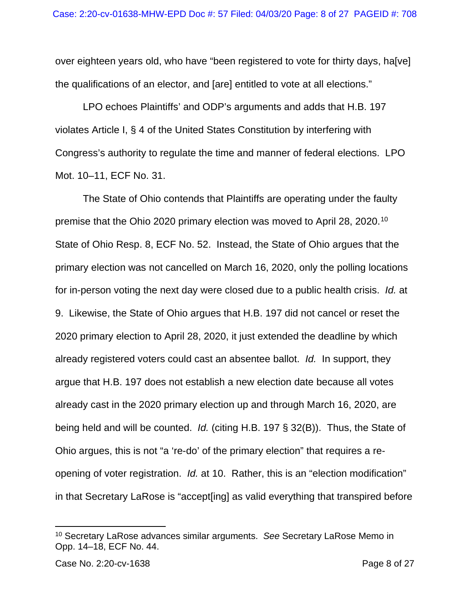over eighteen years old, who have "been registered to vote for thirty days, halvel the qualifications of an elector, and [are] entitled to vote at all elections."

LPO echoes Plaintiffs' and ODP's arguments and adds that H.B. 197 violates Article I, § 4 of the United States Constitution by interfering with Congress's authority to regulate the time and manner of federal elections. LPO Mot. 10–11, ECF No. 31.

The State of Ohio contends that Plaintiffs are operating under the faulty premise that the Ohio 2020 primary election was moved to April 28, 2020.[10](#page-7-0) State of Ohio Resp. 8, ECF No. 52. Instead, the State of Ohio argues that the primary election was not cancelled on March 16, 2020, only the polling locations for in-person voting the next day were closed due to a public health crisis. *Id.* at 9. Likewise, the State of Ohio argues that H.B. 197 did not cancel or reset the 2020 primary election to April 28, 2020, it just extended the deadline by which already registered voters could cast an absentee ballot. *Id.* In support, they argue that H.B. 197 does not establish a new election date because all votes already cast in the 2020 primary election up and through March 16, 2020, are being held and will be counted. *Id.* (citing H.B. 197 § 32(B)). Thus, the State of Ohio argues, this is not "a 're-do' of the primary election" that requires a reopening of voter registration. *Id.* at 10. Rather, this is an "election modification" in that Secretary LaRose is "accept[ing] as valid everything that transpired before

<span id="page-7-0"></span><sup>10</sup> Secretary LaRose advances similar arguments. *See* Secretary LaRose Memo in Opp. 14–18, ECF No. 44.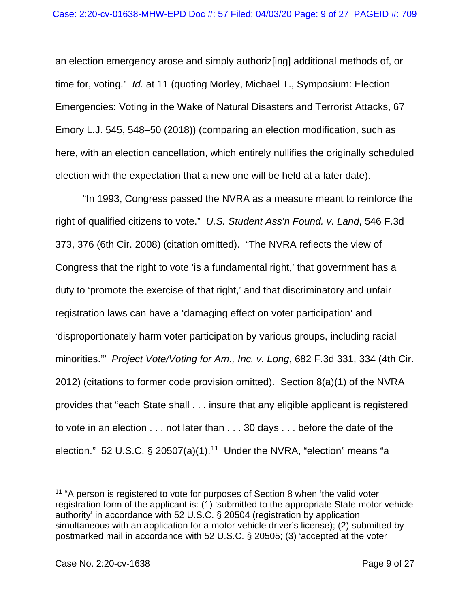an election emergency arose and simply authoriz[ing] additional methods of, or time for, voting." *Id.* at 11 (quoting Morley, Michael T., Symposium: Election Emergencies: Voting in the Wake of Natural Disasters and Terrorist Attacks, 67 Emory L.J. 545, 548–50 (2018)) (comparing an election modification, such as here, with an election cancellation, which entirely nullifies the originally scheduled election with the expectation that a new one will be held at a later date).

"In 1993, Congress passed the NVRA as a measure meant to reinforce the right of qualified citizens to vote." *U.S. Student Ass'n Found. v. Land*, 546 F.3d 373, 376 (6th Cir. 2008) (citation omitted). "The NVRA reflects the view of Congress that the right to vote 'is a fundamental right,' that government has a duty to 'promote the exercise of that right,' and that discriminatory and unfair registration laws can have a 'damaging effect on voter participation' and 'disproportionately harm voter participation by various groups, including racial minorities.'" *Project Vote/Voting for Am., Inc. v. Long*, 682 F.3d 331, 334 (4th Cir. 2012) (citations to former code provision omitted). Section 8(a)(1) of the NVRA provides that "each State shall . . . insure that any eligible applicant is registered to vote in an election . . . not later than . . . 30 days . . . before the date of the election." 52 U.S.C.  $\S$  20507(a)(1).<sup>11</sup> Under the NVRA, "election" means "a

<span id="page-8-0"></span><sup>&</sup>lt;sup>11</sup> "A person is registered to vote for purposes of Section 8 when 'the valid voter registration form of the applicant is: (1) 'submitted to the appropriate State motor vehicle authority' in accordance with 52 U.S.C. § 20504 (registration by application simultaneous with an application for a motor vehicle driver's license); (2) submitted by postmarked mail in accordance with 52 U.S.C. § 20505; (3) 'accepted at the voter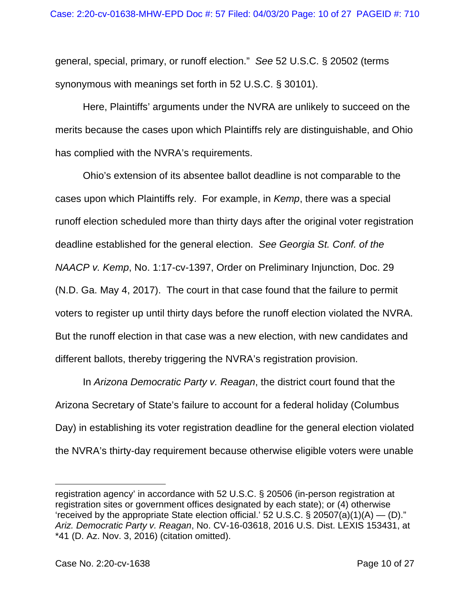general, special, primary, or runoff election." *See* 52 U.S.C. § 20502 (terms synonymous with meanings set forth in 52 U.S.C. § 30101).

Here, Plaintiffs' arguments under the NVRA are unlikely to succeed on the merits because the cases upon which Plaintiffs rely are distinguishable, and Ohio has complied with the NVRA's requirements.

Ohio's extension of its absentee ballot deadline is not comparable to the cases upon which Plaintiffs rely. For example, in *Kemp*, there was a special runoff election scheduled more than thirty days after the original voter registration deadline established for the general election. *See Georgia St. Conf. of the NAACP v. Kemp*, No. 1:17-cv-1397, Order on Preliminary Injunction, Doc. 29 (N.D. Ga. May 4, 2017). The court in that case found that the failure to permit voters to register up until thirty days before the runoff election violated the NVRA. But the runoff election in that case was a new election, with new candidates and different ballots, thereby triggering the NVRA's registration provision.

In *Arizona Democratic Party v. Reagan*, the district court found that the Arizona Secretary of State's failure to account for a federal holiday (Columbus Day) in establishing its voter registration deadline for the general election violated the NVRA's thirty-day requirement because otherwise eligible voters were unable

registration agency' in accordance with 52 U.S.C. § 20506 (in-person registration at registration sites or government offices designated by each state); or (4) otherwise 'received by the appropriate State election official.' 52 U.S.C. § 20507(a)(1)(A) — (D)." *Ariz. Democratic Party v. Reagan*, No. CV-16-03618, 2016 U.S. Dist. LEXIS 153431, at \*41 (D. Az. Nov. 3, 2016) (citation omitted).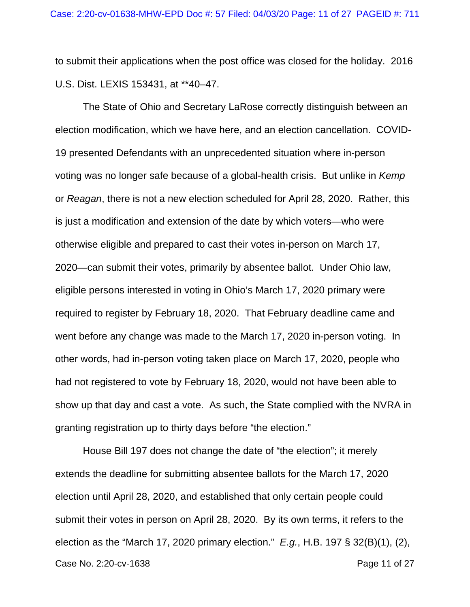to submit their applications when the post office was closed for the holiday. 2016 U.S. Dist. LEXIS 153431, at \*\*40–47.

The State of Ohio and Secretary LaRose correctly distinguish between an election modification, which we have here, and an election cancellation. COVID-19 presented Defendants with an unprecedented situation where in-person voting was no longer safe because of a global-health crisis. But unlike in *Kemp*  or *Reagan*, there is not a new election scheduled for April 28, 2020. Rather, this is just a modification and extension of the date by which voters—who were otherwise eligible and prepared to cast their votes in-person on March 17, 2020—can submit their votes, primarily by absentee ballot. Under Ohio law, eligible persons interested in voting in Ohio's March 17, 2020 primary were required to register by February 18, 2020. That February deadline came and went before any change was made to the March 17, 2020 in-person voting. In other words, had in-person voting taken place on March 17, 2020, people who had not registered to vote by February 18, 2020, would not have been able to show up that day and cast a vote. As such, the State complied with the NVRA in granting registration up to thirty days before "the election."

Case No. 2:20-cv-1638 **Page 11 of 27** House Bill 197 does not change the date of "the election"; it merely extends the deadline for submitting absentee ballots for the March 17, 2020 election until April 28, 2020, and established that only certain people could submit their votes in person on April 28, 2020. By its own terms, it refers to the election as the "March 17, 2020 primary election." *E.g.*, H.B. 197 § 32(B)(1), (2),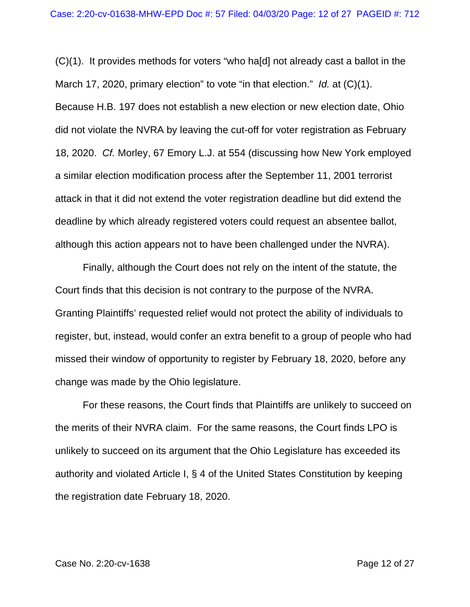(C)(1). It provides methods for voters "who ha[d] not already cast a ballot in the March 17, 2020, primary election" to vote "in that election." *Id.* at (C)(1). Because H.B. 197 does not establish a new election or new election date, Ohio did not violate the NVRA by leaving the cut-off for voter registration as February 18, 2020. *Cf.* Morley, 67 Emory L.J. at 554 (discussing how New York employed a similar election modification process after the September 11, 2001 terrorist attack in that it did not extend the voter registration deadline but did extend the deadline by which already registered voters could request an absentee ballot, although this action appears not to have been challenged under the NVRA).

Finally, although the Court does not rely on the intent of the statute, the Court finds that this decision is not contrary to the purpose of the NVRA. Granting Plaintiffs' requested relief would not protect the ability of individuals to register, but, instead, would confer an extra benefit to a group of people who had missed their window of opportunity to register by February 18, 2020, before any change was made by the Ohio legislature.

For these reasons, the Court finds that Plaintiffs are unlikely to succeed on the merits of their NVRA claim. For the same reasons, the Court finds LPO is unlikely to succeed on its argument that the Ohio Legislature has exceeded its authority and violated Article I, § 4 of the United States Constitution by keeping the registration date February 18, 2020.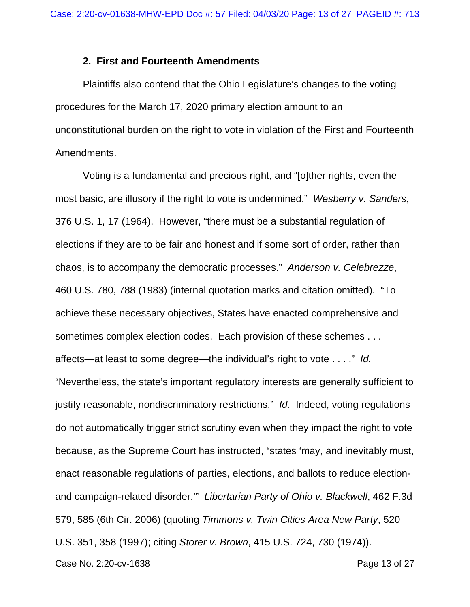#### **2. First and Fourteenth Amendments**

Plaintiffs also contend that the Ohio Legislature's changes to the voting procedures for the March 17, 2020 primary election amount to an unconstitutional burden on the right to vote in violation of the First and Fourteenth Amendments.

Voting is a fundamental and precious right, and "[o]ther rights, even the most basic, are illusory if the right to vote is undermined." *Wesberry v. Sanders*, 376 U.S. 1, 17 (1964). However, "there must be a substantial regulation of elections if they are to be fair and honest and if some sort of order, rather than chaos, is to accompany the democratic processes." *Anderson v. Celebrezze*, 460 U.S. 780, 788 (1983) (internal quotation marks and citation omitted). "To achieve these necessary objectives, States have enacted comprehensive and sometimes complex election codes. Each provision of these schemes . . . affects—at least to some degree—the individual's right to vote . . . ." *Id.*  "Nevertheless, the state's important regulatory interests are generally sufficient to justify reasonable, nondiscriminatory restrictions." *Id.* Indeed, voting regulations do not automatically trigger strict scrutiny even when they impact the right to vote because, as the Supreme Court has instructed, "states 'may, and inevitably must, enact reasonable regulations of parties, elections, and ballots to reduce electionand campaign-related disorder.'" *Libertarian Party of Ohio v. Blackwell*, 462 F.3d 579, 585 (6th Cir. 2006) (quoting *Timmons v. Twin Cities Area New Party*, 520 U.S. 351, 358 (1997); citing *Storer v. Brown*, 415 U.S. 724, 730 (1974)).

Case No. 2:20-cv-1638 **Page 13 of 27**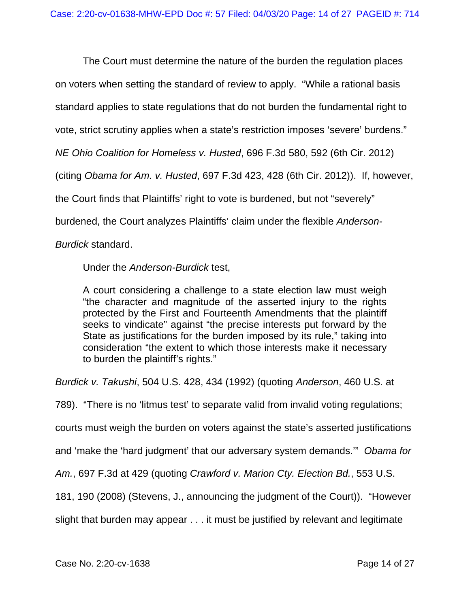The Court must determine the nature of the burden the regulation places on voters when setting the standard of review to apply. "While a rational basis standard applies to state regulations that do not burden the fundamental right to vote, strict scrutiny applies when a state's restriction imposes 'severe' burdens." *NE Ohio Coalition for Homeless v. Husted*, 696 F.3d 580, 592 (6th Cir. 2012) (citing *Obama for Am. v. Husted*, 697 F.3d 423, 428 (6th Cir. 2012)). If, however, the Court finds that Plaintiffs' right to vote is burdened, but not "severely" burdened, the Court analyzes Plaintiffs' claim under the flexible *Anderson-Burdick* standard.

Under the *Anderson-Burdick* test,

A court considering a challenge to a state election law must weigh "the character and magnitude of the asserted injury to the rights protected by the First and Fourteenth Amendments that the plaintiff seeks to vindicate" against "the precise interests put forward by the State as justifications for the burden imposed by its rule," taking into consideration "the extent to which those interests make it necessary to burden the plaintiff's rights."

*Burdick v. Takushi*, 504 U.S. 428, 434 (1992) (quoting *Anderson*, 460 U.S. at

789). "There is no 'litmus test' to separate valid from invalid voting regulations;

courts must weigh the burden on voters against the state's asserted justifications

and 'make the 'hard judgment' that our adversary system demands.'" *Obama for* 

*Am.*, 697 F.3d at 429 (quoting *Crawford v. Marion Cty. Election Bd.*, 553 U.S.

181, 190 (2008) (Stevens, J., announcing the judgment of the Court)). "However

slight that burden may appear . . . it must be justified by relevant and legitimate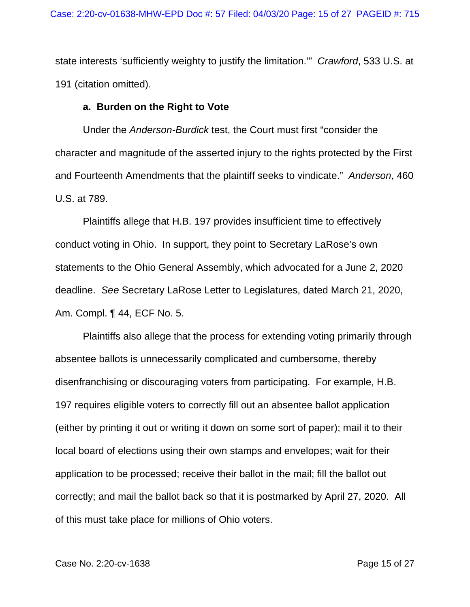state interests 'sufficiently weighty to justify the limitation.'" *Crawford*, 533 U.S. at 191 (citation omitted).

### **a. Burden on the Right to Vote**

Under the *Anderson-Burdick* test, the Court must first "consider the character and magnitude of the asserted injury to the rights protected by the First and Fourteenth Amendments that the plaintiff seeks to vindicate." *Anderson*, 460 U.S. at 789.

Plaintiffs allege that H.B. 197 provides insufficient time to effectively conduct voting in Ohio. In support, they point to Secretary LaRose's own statements to the Ohio General Assembly, which advocated for a June 2, 2020 deadline. *See* Secretary LaRose Letter to Legislatures, dated March 21, 2020, Am. Compl. ¶ 44, ECF No. 5.

Plaintiffs also allege that the process for extending voting primarily through absentee ballots is unnecessarily complicated and cumbersome, thereby disenfranchising or discouraging voters from participating. For example, H.B. 197 requires eligible voters to correctly fill out an absentee ballot application (either by printing it out or writing it down on some sort of paper); mail it to their local board of elections using their own stamps and envelopes; wait for their application to be processed; receive their ballot in the mail; fill the ballot out correctly; and mail the ballot back so that it is postmarked by April 27, 2020. All of this must take place for millions of Ohio voters.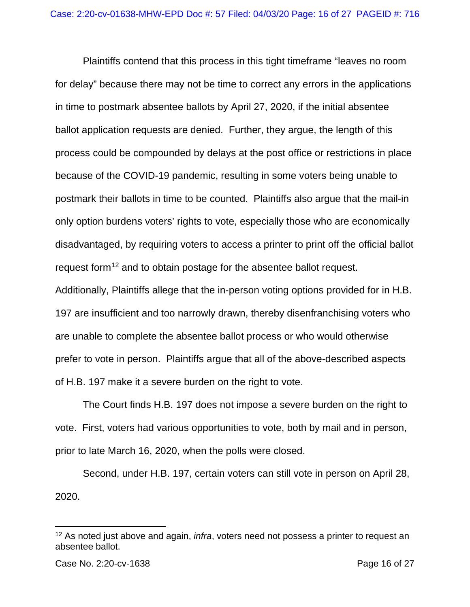Plaintiffs contend that this process in this tight timeframe "leaves no room for delay" because there may not be time to correct any errors in the applications in time to postmark absentee ballots by April 27, 2020, if the initial absentee ballot application requests are denied. Further, they argue, the length of this process could be compounded by delays at the post office or restrictions in place because of the COVID-19 pandemic, resulting in some voters being unable to postmark their ballots in time to be counted. Plaintiffs also argue that the mail-in only option burdens voters' rights to vote, especially those who are economically disadvantaged, by requiring voters to access a printer to print off the official ballot request form<sup>[12](#page-15-0)</sup> and to obtain postage for the absentee ballot request.

Additionally, Plaintiffs allege that the in-person voting options provided for in H.B. 197 are insufficient and too narrowly drawn, thereby disenfranchising voters who are unable to complete the absentee ballot process or who would otherwise prefer to vote in person. Plaintiffs argue that all of the above-described aspects of H.B. 197 make it a severe burden on the right to vote.

The Court finds H.B. 197 does not impose a severe burden on the right to vote. First, voters had various opportunities to vote, both by mail and in person, prior to late March 16, 2020, when the polls were closed.

Second, under H.B. 197, certain voters can still vote in person on April 28, 2020.

<span id="page-15-0"></span><sup>12</sup> As noted just above and again, *infra*, voters need not possess a printer to request an absentee ballot.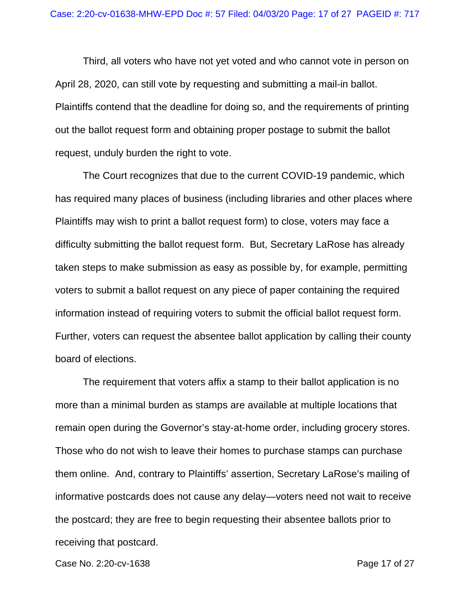Third, all voters who have not yet voted and who cannot vote in person on April 28, 2020, can still vote by requesting and submitting a mail-in ballot. Plaintiffs contend that the deadline for doing so, and the requirements of printing out the ballot request form and obtaining proper postage to submit the ballot request, unduly burden the right to vote.

The Court recognizes that due to the current COVID-19 pandemic, which has required many places of business (including libraries and other places where Plaintiffs may wish to print a ballot request form) to close, voters may face a difficulty submitting the ballot request form. But, Secretary LaRose has already taken steps to make submission as easy as possible by, for example, permitting voters to submit a ballot request on any piece of paper containing the required information instead of requiring voters to submit the official ballot request form. Further, voters can request the absentee ballot application by calling their county board of elections.

The requirement that voters affix a stamp to their ballot application is no more than a minimal burden as stamps are available at multiple locations that remain open during the Governor's stay-at-home order, including grocery stores. Those who do not wish to leave their homes to purchase stamps can purchase them online. And, contrary to Plaintiffs' assertion, Secretary LaRose's mailing of informative postcards does not cause any delay—voters need not wait to receive the postcard; they are free to begin requesting their absentee ballots prior to receiving that postcard.

Case No. 2:20-cv-1638 **Page 17 of 27**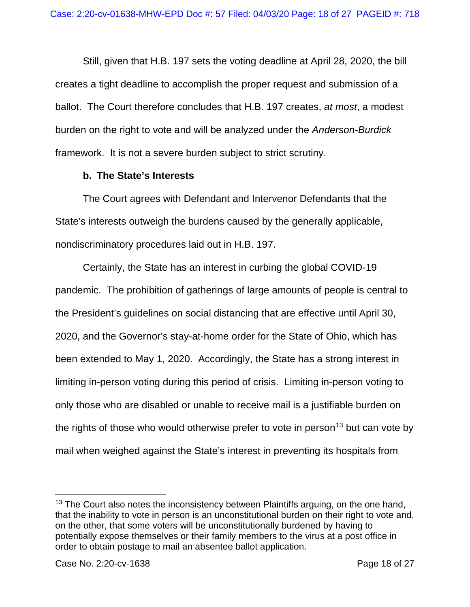Still, given that H.B. 197 sets the voting deadline at April 28, 2020, the bill creates a tight deadline to accomplish the proper request and submission of a ballot. The Court therefore concludes that H.B. 197 creates, *at most*, a modest burden on the right to vote and will be analyzed under the *Anderson-Burdick* framework. It is not a severe burden subject to strict scrutiny.

# **b. The State's Interests**

The Court agrees with Defendant and Intervenor Defendants that the State's interests outweigh the burdens caused by the generally applicable, nondiscriminatory procedures laid out in H.B. 197.

Certainly, the State has an interest in curbing the global COVID-19 pandemic. The prohibition of gatherings of large amounts of people is central to the President's guidelines on social distancing that are effective until April 30, 2020, and the Governor's stay-at-home order for the State of Ohio, which has been extended to May 1, 2020. Accordingly, the State has a strong interest in limiting in-person voting during this period of crisis. Limiting in-person voting to only those who are disabled or unable to receive mail is a justifiable burden on the rights of those who would otherwise prefer to vote in person<sup>[13](#page-17-0)</sup> but can vote by mail when weighed against the State's interest in preventing its hospitals from

<span id="page-17-0"></span><sup>&</sup>lt;sup>13</sup> The Court also notes the inconsistency between Plaintiffs arguing, on the one hand, that the inability to vote in person is an unconstitutional burden on their right to vote and, on the other, that some voters will be unconstitutionally burdened by having to potentially expose themselves or their family members to the virus at a post office in order to obtain postage to mail an absentee ballot application.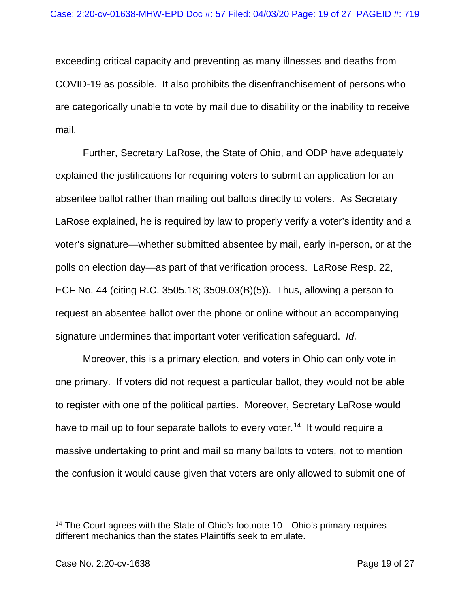exceeding critical capacity and preventing as many illnesses and deaths from COVID-19 as possible. It also prohibits the disenfranchisement of persons who are categorically unable to vote by mail due to disability or the inability to receive mail.

Further, Secretary LaRose, the State of Ohio, and ODP have adequately explained the justifications for requiring voters to submit an application for an absentee ballot rather than mailing out ballots directly to voters. As Secretary LaRose explained, he is required by law to properly verify a voter's identity and a voter's signature—whether submitted absentee by mail, early in-person, or at the polls on election day—as part of that verification process. LaRose Resp. 22, ECF No. 44 (citing R.C. 3505.18; 3509.03(B)(5)). Thus, allowing a person to request an absentee ballot over the phone or online without an accompanying signature undermines that important voter verification safeguard. *Id.*

Moreover, this is a primary election, and voters in Ohio can only vote in one primary. If voters did not request a particular ballot, they would not be able to register with one of the political parties. Moreover, Secretary LaRose would have to mail up to four separate ballots to every voter.<sup>[14](#page-18-0)</sup> It would require a massive undertaking to print and mail so many ballots to voters, not to mention the confusion it would cause given that voters are only allowed to submit one of

<span id="page-18-0"></span><sup>14</sup> The Court agrees with the State of Ohio's footnote 10—Ohio's primary requires different mechanics than the states Plaintiffs seek to emulate.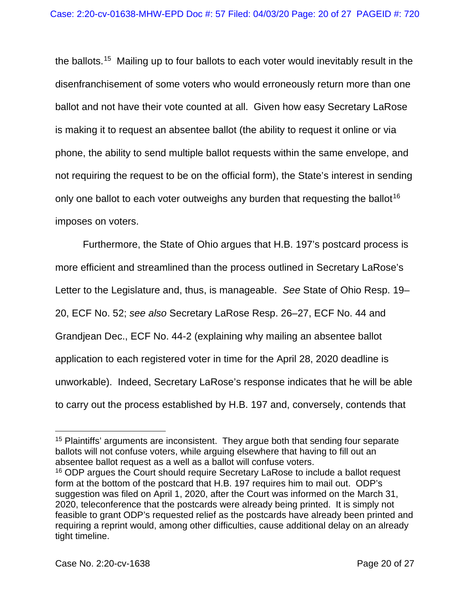the ballots.<sup>15</sup> Mailing up to four ballots to each voter would inevitably result in the disenfranchisement of some voters who would erroneously return more than one ballot and not have their vote counted at all. Given how easy Secretary LaRose is making it to request an absentee ballot (the ability to request it online or via phone, the ability to send multiple ballot requests within the same envelope, and not requiring the request to be on the official form), the State's interest in sending only one ballot to each voter outweighs any burden that requesting the ballot<sup>[16](#page-19-1)</sup> imposes on voters.

Furthermore, the State of Ohio argues that H.B. 197's postcard process is more efficient and streamlined than the process outlined in Secretary LaRose's Letter to the Legislature and, thus, is manageable. *See* State of Ohio Resp. 19– 20, ECF No. 52; *see also* Secretary LaRose Resp. 26–27, ECF No. 44 and Grandjean Dec., ECF No. 44-2 (explaining why mailing an absentee ballot application to each registered voter in time for the April 28, 2020 deadline is unworkable). Indeed, Secretary LaRose's response indicates that he will be able to carry out the process established by H.B. 197 and, conversely, contends that

<span id="page-19-0"></span><sup>&</sup>lt;sup>15</sup> Plaintiffs' arguments are inconsistent. They argue both that sending four separate ballots will not confuse voters, while arguing elsewhere that having to fill out an absentee ballot request as a well as a ballot will confuse voters.<br><sup>16</sup> ODP argues the Court should require Secretary LaRose to include a ballot request

<span id="page-19-1"></span>form at the bottom of the postcard that H.B. 197 requires him to mail out. ODP's suggestion was filed on April 1, 2020, after the Court was informed on the March 31, 2020, teleconference that the postcards were already being printed. It is simply not feasible to grant ODP's requested relief as the postcards have already been printed and requiring a reprint would, among other difficulties, cause additional delay on an already tight timeline.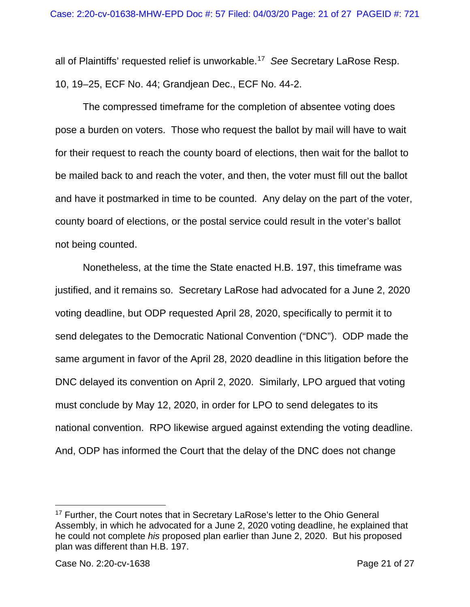all of Plaintiffs' requested relief is unworkable.[17](#page-20-0) *See* Secretary LaRose Resp. 10, 19–25, ECF No. 44; Grandjean Dec., ECF No. 44-2.

The compressed timeframe for the completion of absentee voting does pose a burden on voters. Those who request the ballot by mail will have to wait for their request to reach the county board of elections, then wait for the ballot to be mailed back to and reach the voter, and then, the voter must fill out the ballot and have it postmarked in time to be counted. Any delay on the part of the voter, county board of elections, or the postal service could result in the voter's ballot not being counted.

Nonetheless, at the time the State enacted H.B. 197, this timeframe was justified, and it remains so. Secretary LaRose had advocated for a June 2, 2020 voting deadline, but ODP requested April 28, 2020, specifically to permit it to send delegates to the Democratic National Convention ("DNC"). ODP made the same argument in favor of the April 28, 2020 deadline in this litigation before the DNC delayed its convention on April 2, 2020. Similarly, LPO argued that voting must conclude by May 12, 2020, in order for LPO to send delegates to its national convention. RPO likewise argued against extending the voting deadline. And, ODP has informed the Court that the delay of the DNC does not change

<span id="page-20-0"></span><sup>&</sup>lt;sup>17</sup> Further, the Court notes that in Secretary LaRose's letter to the Ohio General Assembly, in which he advocated for a June 2, 2020 voting deadline, he explained that he could not complete *his* proposed plan earlier than June 2, 2020. But his proposed plan was different than H.B. 197.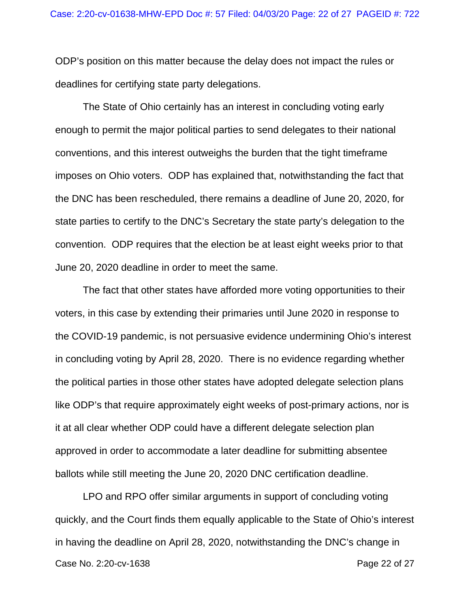ODP's position on this matter because the delay does not impact the rules or deadlines for certifying state party delegations.

The State of Ohio certainly has an interest in concluding voting early enough to permit the major political parties to send delegates to their national conventions, and this interest outweighs the burden that the tight timeframe imposes on Ohio voters. ODP has explained that, notwithstanding the fact that the DNC has been rescheduled, there remains a deadline of June 20, 2020, for state parties to certify to the DNC's Secretary the state party's delegation to the convention. ODP requires that the election be at least eight weeks prior to that June 20, 2020 deadline in order to meet the same.

The fact that other states have afforded more voting opportunities to their voters, in this case by extending their primaries until June 2020 in response to the COVID-19 pandemic, is not persuasive evidence undermining Ohio's interest in concluding voting by April 28, 2020. There is no evidence regarding whether the political parties in those other states have adopted delegate selection plans like ODP's that require approximately eight weeks of post-primary actions, nor is it at all clear whether ODP could have a different delegate selection plan approved in order to accommodate a later deadline for submitting absentee ballots while still meeting the June 20, 2020 DNC certification deadline.

Case No. 2:20-cv-1638 **Page 22 of 27** LPO and RPO offer similar arguments in support of concluding voting quickly, and the Court finds them equally applicable to the State of Ohio's interest in having the deadline on April 28, 2020, notwithstanding the DNC's change in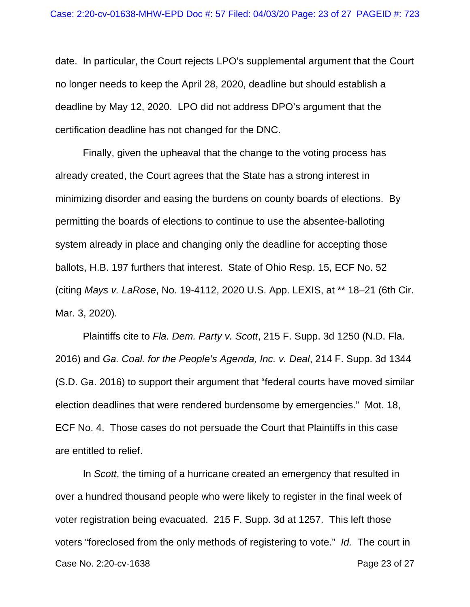date. In particular, the Court rejects LPO's supplemental argument that the Court no longer needs to keep the April 28, 2020, deadline but should establish a deadline by May 12, 2020. LPO did not address DPO's argument that the certification deadline has not changed for the DNC.

Finally, given the upheaval that the change to the voting process has already created, the Court agrees that the State has a strong interest in minimizing disorder and easing the burdens on county boards of elections. By permitting the boards of elections to continue to use the absentee-balloting system already in place and changing only the deadline for accepting those ballots, H.B. 197 furthers that interest. State of Ohio Resp. 15, ECF No. 52 (citing *Mays v. LaRose*, No. 19-4112, 2020 U.S. App. LEXIS, at \*\* 18–21 (6th Cir. Mar. 3, 2020).

Plaintiffs cite to *Fla. Dem. Party v. Scott*, 215 F. Supp. 3d 1250 (N.D. Fla. 2016) and *Ga. Coal. for the People's Agenda, Inc. v. Deal*, 214 F. Supp. 3d 1344 (S.D. Ga. 2016) to support their argument that "federal courts have moved similar election deadlines that were rendered burdensome by emergencies." Mot. 18, ECF No. 4. Those cases do not persuade the Court that Plaintiffs in this case are entitled to relief.

Case No. 2:20-cv-1638 **Page 23 of 27** In *Scott*, the timing of a hurricane created an emergency that resulted in over a hundred thousand people who were likely to register in the final week of voter registration being evacuated. 215 F. Supp. 3d at 1257. This left those voters "foreclosed from the only methods of registering to vote." *Id.* The court in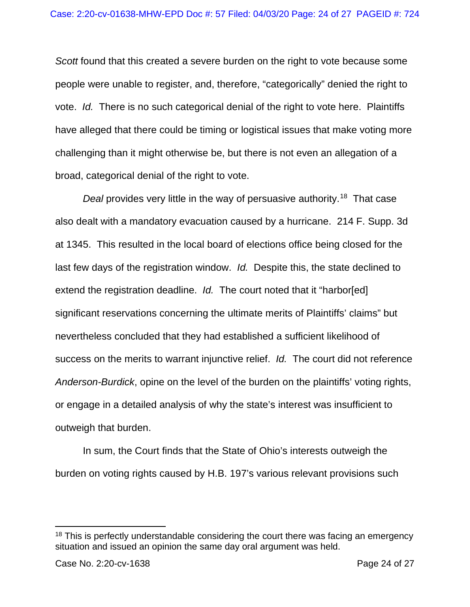*Scott* found that this created a severe burden on the right to vote because some people were unable to register, and, therefore, "categorically" denied the right to vote. *Id.* There is no such categorical denial of the right to vote here. Plaintiffs have alleged that there could be timing or logistical issues that make voting more challenging than it might otherwise be, but there is not even an allegation of a broad, categorical denial of the right to vote.

*Deal* provides very little in the way of persuasive authority.<sup>18</sup> That case also dealt with a mandatory evacuation caused by a hurricane. 214 F. Supp. 3d at 1345. This resulted in the local board of elections office being closed for the last few days of the registration window. *Id.* Despite this, the state declined to extend the registration deadline. *Id.* The court noted that it "harbor[ed] significant reservations concerning the ultimate merits of Plaintiffs' claims" but nevertheless concluded that they had established a sufficient likelihood of success on the merits to warrant injunctive relief. *Id.* The court did not reference *Anderson-Burdick*, opine on the level of the burden on the plaintiffs' voting rights, or engage in a detailed analysis of why the state's interest was insufficient to outweigh that burden.

In sum, the Court finds that the State of Ohio's interests outweigh the burden on voting rights caused by H.B. 197's various relevant provisions such

<span id="page-23-0"></span><sup>&</sup>lt;sup>18</sup> This is perfectly understandable considering the court there was facing an emergency situation and issued an opinion the same day oral argument was held.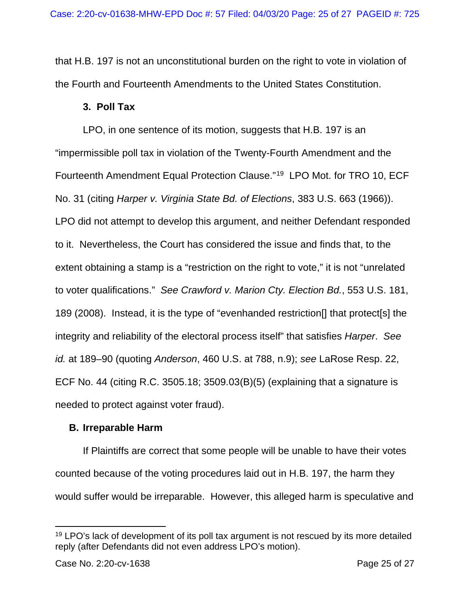that H.B. 197 is not an unconstitutional burden on the right to vote in violation of the Fourth and Fourteenth Amendments to the United States Constitution.

## **3. Poll Tax**

LPO, in one sentence of its motion, suggests that H.B. 197 is an "impermissible poll tax in violation of the Twenty-Fourth Amendment and the Fourteenth Amendment Equal Protection Clause."[19](#page-24-0) LPO Mot. for TRO 10, ECF No. 31 (citing *Harper v. Virginia State Bd. of Elections*, 383 U.S. 663 (1966)). LPO did not attempt to develop this argument, and neither Defendant responded to it. Nevertheless, the Court has considered the issue and finds that, to the extent obtaining a stamp is a "restriction on the right to vote," it is not "unrelated to voter qualifications." *See Crawford v. Marion Cty. Election Bd.*, 553 U.S. 181, 189 (2008). Instead, it is the type of "evenhanded restriction[] that protect[s] the integrity and reliability of the electoral process itself" that satisfies *Harper*. *See id.* at 189–90 (quoting *Anderson*, 460 U.S. at 788, n.9); *see* LaRose Resp. 22, ECF No. 44 (citing R.C. 3505.18; 3509.03(B)(5) (explaining that a signature is needed to protect against voter fraud).

# **B. Irreparable Harm**

If Plaintiffs are correct that some people will be unable to have their votes counted because of the voting procedures laid out in H.B. 197, the harm they would suffer would be irreparable. However, this alleged harm is speculative and

<span id="page-24-0"></span><sup>&</sup>lt;sup>19</sup> LPO's lack of development of its poll tax argument is not rescued by its more detailed reply (after Defendants did not even address LPO's motion).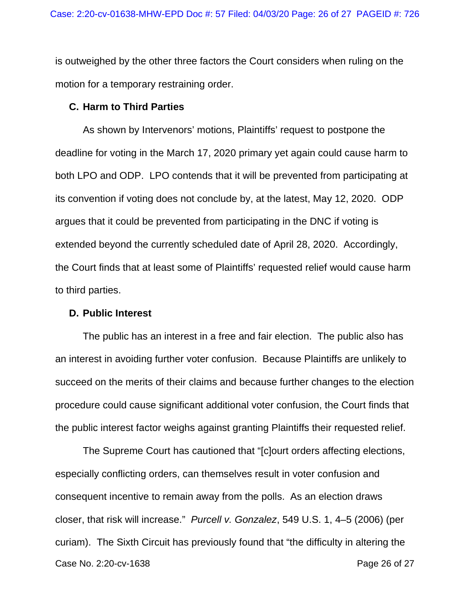is outweighed by the other three factors the Court considers when ruling on the motion for a temporary restraining order.

#### **C. Harm to Third Parties**

As shown by Intervenors' motions, Plaintiffs' request to postpone the deadline for voting in the March 17, 2020 primary yet again could cause harm to both LPO and ODP. LPO contends that it will be prevented from participating at its convention if voting does not conclude by, at the latest, May 12, 2020. ODP argues that it could be prevented from participating in the DNC if voting is extended beyond the currently scheduled date of April 28, 2020. Accordingly, the Court finds that at least some of Plaintiffs' requested relief would cause harm to third parties.

#### **D. Public Interest**

The public has an interest in a free and fair election. The public also has an interest in avoiding further voter confusion. Because Plaintiffs are unlikely to succeed on the merits of their claims and because further changes to the election procedure could cause significant additional voter confusion, the Court finds that the public interest factor weighs against granting Plaintiffs their requested relief.

Case No. 2:20-cv-1638 **Page 26 of 27** The Supreme Court has cautioned that "[c]ourt orders affecting elections, especially conflicting orders, can themselves result in voter confusion and consequent incentive to remain away from the polls. As an election draws closer, that risk will increase." *Purcell v. Gonzalez*, 549 U.S. 1, 4–5 (2006) (per curiam). The Sixth Circuit has previously found that "the difficulty in altering the